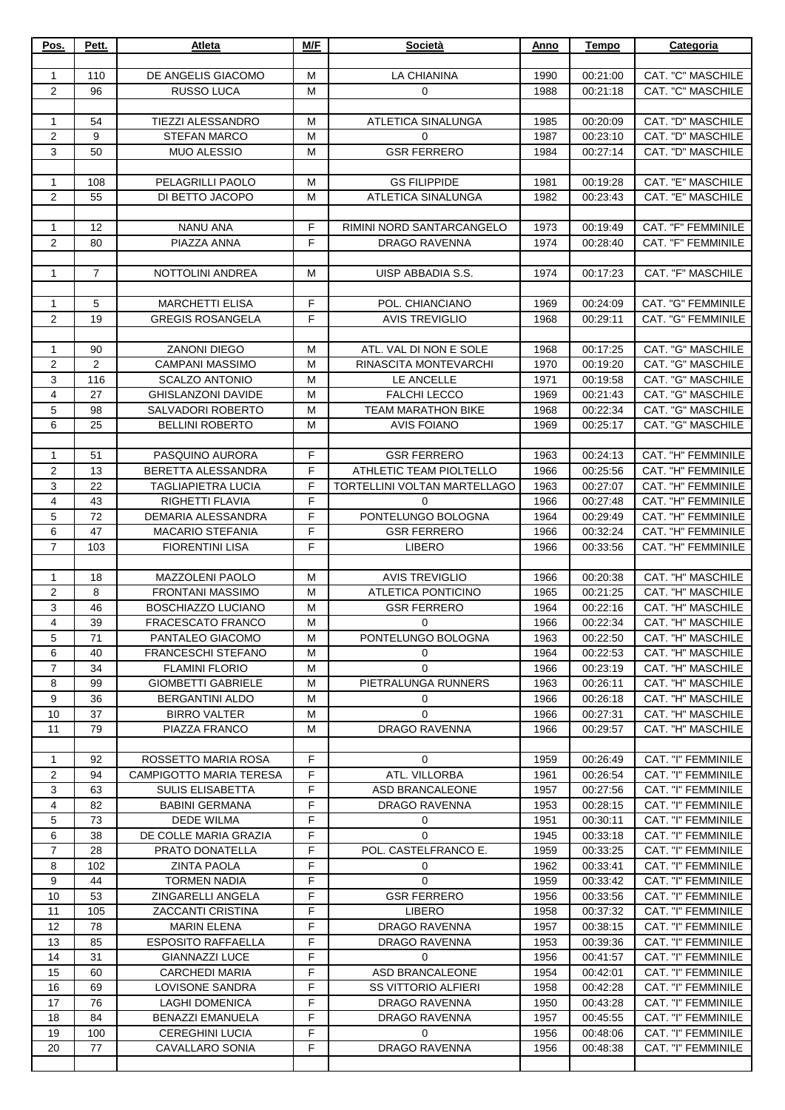| Pos.                | Pett.          | <b>Atleta</b>                                         | M/F            | <b>Società</b>                    | Anno         | <b>Tempo</b>         | Categoria                                |
|---------------------|----------------|-------------------------------------------------------|----------------|-----------------------------------|--------------|----------------------|------------------------------------------|
|                     |                |                                                       |                |                                   |              |                      |                                          |
| 1                   | 110            | DE ANGELIS GIACOMO                                    | M              | <b>LA CHIANINA</b>                | 1990         | 00:21:00             | CAT. "C" MASCHILE                        |
| $\overline{2}$      | 96             | <b>RUSSO LUCA</b>                                     | M              | $\mathbf 0$                       | 1988         | 00:21:18             | CAT. "C" MASCHILE                        |
|                     |                |                                                       |                |                                   |              |                      |                                          |
| $\mathbf{1}$        | 54             | <b>TIEZZI ALESSANDRO</b>                              | M              | ATLETICA SINALUNGA                | 1985         | 00:20:09             | CAT. "D" MASCHILE                        |
| $\overline{2}$      | 9<br>50        | <b>STEFAN MARCO</b><br><b>MUO ALESSIO</b>             | M<br>M         | $\Omega$<br><b>GSR FERRERO</b>    | 1987         | 00:23:10             | CAT. "D" MASCHILE<br>CAT. "D" MASCHILE   |
| 3                   |                |                                                       |                |                                   | 1984         | 00:27:14             |                                          |
| $\mathbf{1}$        | 108            | PELAGRILLI PAOLO                                      | M              | <b>GS FILIPPIDE</b>               | 1981         | 00:19:28             | CAT. "E" MASCHILE                        |
| $\overline{2}$      | 55             | DI BETTO JACOPO                                       | M              | ATLETICA SINALUNGA                | 1982         | 00:23:43             | CAT. "E" MASCHILE                        |
|                     |                |                                                       |                |                                   |              |                      |                                          |
| 1                   | 12             | <b>NANU ANA</b>                                       | F              | RIMINI NORD SANTARCANGELO         | 1973         | 00:19:49             | CAT. "F" FEMMINILE                       |
| $\overline{2}$      | 80             | PIAZZA ANNA                                           | F              | DRAGO RAVENNA                     | 1974         | 00:28:40             | CAT. "F" FEMMINILE                       |
|                     |                |                                                       |                |                                   |              |                      |                                          |
| $\mathbf{1}$        | $\overline{7}$ | NOTTOLINI ANDREA                                      | M              | UISP ABBADIA S.S.                 | 1974         | 00:17:23             | CAT. "F" MASCHILE                        |
|                     |                |                                                       |                |                                   |              |                      |                                          |
| $\mathbf{1}$        | 5              | <b>MARCHETTI ELISA</b>                                | $\mathsf F$    | POL. CHIANCIANO                   | 1969         | 00:24:09             | CAT. "G" FEMMINILE                       |
| $\mathbf{2}$        | 19             | <b>GREGIS ROSANGELA</b>                               | F              | <b>AVIS TREVIGLIO</b>             | 1968         | 00:29:11             | CAT. "G" FEMMINILE                       |
|                     |                |                                                       |                |                                   |              |                      |                                          |
| 1                   | 90             | <b>ZANONI DIEGO</b>                                   | M              | ATL. VAL DI NON E SOLE            | 1968         | 00:17:25             | CAT. "G" MASCHILE                        |
| $\overline{2}$      | $\overline{2}$ | <b>CAMPANI MASSIMO</b>                                | M              | RINASCITA MONTEVARCHI             | 1970         | 00:19:20             | CAT. "G" MASCHILE                        |
| 3<br>4              | 116<br>27      | <b>SCALZO ANTONIO</b>                                 | M<br>M         | LE ANCELLE<br><b>FALCHI LECCO</b> | 1971         | 00:19:58             | CAT. "G" MASCHILE<br>CAT. "G" MASCHILE   |
| 5                   | 98             | <b>GHISLANZONI DAVIDE</b><br><b>SALVADORI ROBERTO</b> | M              | <b>TEAM MARATHON BIKE</b>         | 1969<br>1968 | 00:21:43<br>00:22:34 | CAT. "G" MASCHILE                        |
| 6                   | 25             | <b>BELLINI ROBERTO</b>                                | M              | <b>AVIS FOIANO</b>                | 1969         | 00:25:17             | CAT. "G" MASCHILE                        |
|                     |                |                                                       |                |                                   |              |                      |                                          |
| $\mathbf{1}$        | 51             | PASQUINO AURORA                                       | F              | <b>GSR FERRERO</b>                | 1963         | 00:24:13             | CAT. "H" FEMMINILE                       |
| $\overline{2}$      | 13             | BERETTA ALESSANDRA                                    | F              | ATHLETIC TEAM PIOLTELLO           | 1966         | 00:25:56             | CAT. "H" FEMMINILE                       |
| 3                   | 22             | <b>TAGLIAPIETRA LUCIA</b>                             | F              | TORTELLINI VOLTAN MARTELLAGO      | 1963         | 00:27:07             | CAT. "H" FEMMINILE                       |
| 4                   | 43             | RIGHETTI FLAVIA                                       | $\overline{F}$ | $\Omega$                          | 1966         | 00:27:48             | CAT. "H" FEMMINILE                       |
| 5                   | 72             | DEMARIA ALESSANDRA                                    | F              | PONTELUNGO BOLOGNA                | 1964         | 00:29:49             | CAT. "H" FEMMINILE                       |
| 6                   | 47             | <b>MACARIO STEFANIA</b>                               | F              | <b>GSR FERRERO</b>                | 1966         | 00:32:24             | CAT. "H" FEMMINILE                       |
| $\overline{7}$      | 103            | <b>FIORENTINI LISA</b>                                | F              | <b>LIBERO</b>                     | 1966         | 00:33:56             | CAT. "H" FEMMINILE                       |
|                     |                |                                                       |                |                                   |              |                      |                                          |
| $\mathbf{1}$        | 18             | MAZZOLENI PAOLO                                       | M              | <b>AVIS TREVIGLIO</b>             | 1966         | 00:20:38             | CAT. "H" MASCHILE                        |
| 2                   | 8              | <b>FRONTANI MASSIMO</b>                               | M              | ATLETICA PONTICINO                | 1965         | 00:21:25             | CAT. "H" MASCHILE                        |
| 3<br>$\overline{4}$ | 46             | <b>BOSCHIAZZO LUCIANO</b>                             | M              | <b>GSR FERRERO</b>                | 1964         | 00:22:16             | CAT. "H" MASCHILE                        |
| 5                   | 39<br>71       | <b>FRACESCATO FRANCO</b><br>PANTALEO GIACOMO          | M<br>м         | $\mathbf 0$<br>PONTELUNGO BOLOGNA | 1966<br>1963 | 00:22:34<br>00:22:50 | CAT. "H" MASCHILE<br>CAT. "H" MASCHILE   |
| 6                   | 40             | <b>FRANCESCHI STEFANO</b>                             | M              | 0                                 | 1964         | 00:22:53             | CAT. "H" MASCHILE                        |
| $\overline{7}$      | 34             | <b>FLAMINI FLORIO</b>                                 | M              | $\mathbf 0$                       | 1966         | 00:23:19             | CAT. "H" MASCHILE                        |
| 8                   | 99             | <b>GIOMBETTI GABRIELE</b>                             | M              | PIETRALUNGA RUNNERS               | 1963         | 00:26:11             | CAT. "H" MASCHILE                        |
| 9                   | 36             | <b>BERGANTINI ALDO</b>                                | M              | 0                                 | 1966         | 00:26:18             | CAT. "H" MASCHILE                        |
| 10                  | 37             | <b>BIRRO VALTER</b>                                   | M              | $\Omega$                          | 1966         | 00:27:31             | CAT. "H" MASCHILE                        |
| 11                  | 79             | PIAZZA FRANCO                                         | M              | <b>DRAGO RAVENNA</b>              | 1966         | 00:29:57             | CAT. "H" MASCHILE                        |
|                     |                |                                                       |                |                                   |              |                      |                                          |
| $\mathbf{1}$        | 92             | ROSSETTO MARIA ROSA                                   | F              | $\mathbf 0$                       | 1959         | 00:26:49             | CAT. "I" FEMMINILE                       |
| 2                   | 94             | <b>CAMPIGOTTO MARIA TERESA</b>                        | F              | ATL. VILLORBA                     | 1961         | 00:26:54             | CAT. "I" FEMMINILE                       |
| 3                   | 63             | <b>SULIS ELISABETTA</b>                               | F              | ASD BRANCALEONE                   | 1957         | 00:27:56             | CAT. "I" FEMMINILE                       |
| 4                   | 82             | <b>BABINI GERMANA</b>                                 | F              | DRAGO RAVENNA                     | 1953         | 00:28:15             | CAT. "I" FEMMINILE                       |
| 5                   | 73             | <b>DEDE WILMA</b>                                     | F              | 0                                 | 1951         | 00:30:11             | CAT. "I" FEMMINILE                       |
| 6                   | 38             | DE COLLE MARIA GRAZIA                                 | F              | $\mathbf 0$                       | 1945         | 00:33:18             | CAT. "I" FEMMINILE                       |
| $\overline{7}$      | 28             | PRATO DONATELLA                                       | F              | POL. CASTELFRANCO E.              | 1959         | 00:33:25             | CAT. "I" FEMMINILE                       |
| 8<br>9              | 102<br>44      | <b>ZINTA PAOLA</b><br><b>TORMEN NADIA</b>             | F<br>F         | 0<br>$\Omega$                     | 1962<br>1959 | 00:33:41<br>00:33:42 | CAT. "I" FEMMINILE<br>CAT. "I" FEMMINILE |
| 10                  | 53             | ZINGARELLI ANGELA                                     | F              | <b>GSR FERRERO</b>                | 1956         | 00:33:56             | CAT. "I" FEMMINILE                       |
| 11                  | 105            | ZACCANTI CRISTINA                                     | F              | <b>LIBERO</b>                     | 1958         | 00:37:32             | CAT. "I" FEMMINILE                       |
| 12                  | 78             | <b>MARIN ELENA</b>                                    | F              | DRAGO RAVENNA                     | 1957         | 00:38:15             | CAT. "I" FEMMINILE                       |
| 13                  | 85             | <b>ESPOSITO RAFFAELLA</b>                             | F              | <b>DRAGO RAVENNA</b>              | 1953         | 00:39:36             | CAT. "I" FEMMINILE                       |
| 14                  | 31             | <b>GIANNAZZI LUCE</b>                                 | F              | $\Omega$                          | 1956         | 00:41:57             | CAT. "I" FEMMINILE                       |
| 15                  | 60             | <b>CARCHEDI MARIA</b>                                 | F              | ASD BRANCALEONE                   | 1954         | 00:42:01             | CAT. "I" FEMMINILE                       |
| 16                  | 69             | LOVISONE SANDRA                                       | F              | <b>SS VITTORIO ALFIERI</b>        | 1958         | 00:42:28             | CAT. "I" FEMMINILE                       |
| 17                  | 76             | LAGHI DOMENICA                                        | F              | DRAGO RAVENNA                     | 1950         | 00:43:28             | CAT. "I" FEMMINILE                       |
| 18                  | 84             | <b>BENAZZI EMANUELA</b>                               | F              | DRAGO RAVENNA                     | 1957         | 00:45:55             | CAT. "I" FEMMINILE                       |
| 19                  | 100            | <b>CEREGHINI LUCIA</b>                                | F              | $\Omega$                          | 1956         | 00:48:06             | CAT. "I" FEMMINILE                       |
| 20                  | 77             | <b>CAVALLARO SONIA</b>                                | F              | DRAGO RAVENNA                     | 1956         | 00:48:38             | CAT. "I" FEMMINILE                       |
|                     |                |                                                       |                |                                   |              |                      |                                          |